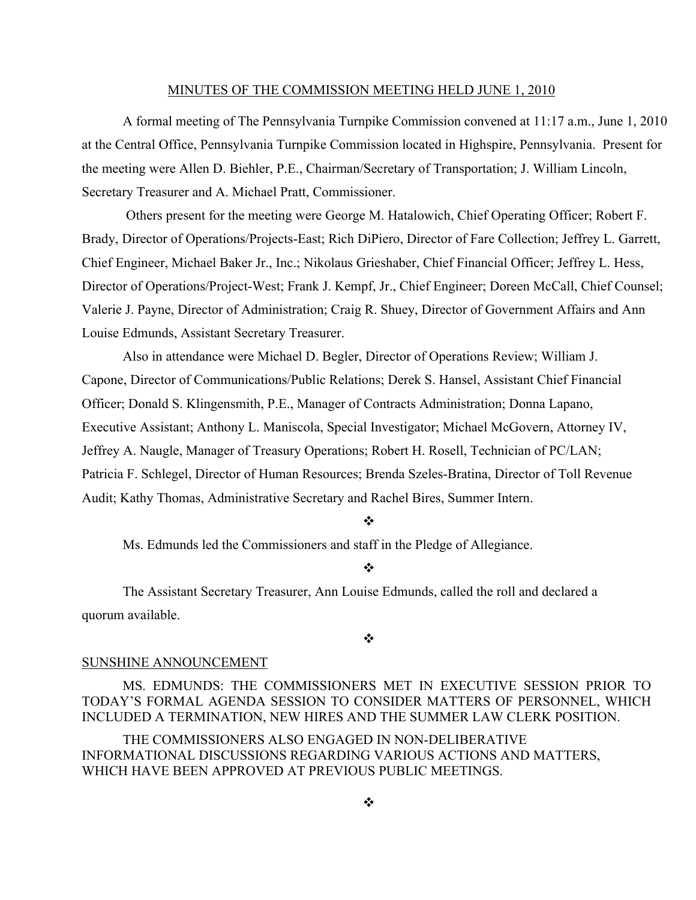### MINUTES OF THE COMMISSION MEETING HELD JUNE 1, 2010

A formal meeting of The Pennsylvania Turnpike Commission convened at 11:17 a.m., June 1, 2010 at the Central Office, Pennsylvania Turnpike Commission located in Highspire, Pennsylvania. Present for the meeting were Allen D. Biehler, P.E., Chairman/Secretary of Transportation; J. William Lincoln, Secretary Treasurer and A. Michael Pratt, Commissioner.

Others present for the meeting were George M. Hatalowich, Chief Operating Officer; Robert F. Brady, Director of Operations/Projects-East; Rich DiPiero, Director of Fare Collection; Jeffrey L. Garrett, Chief Engineer, Michael Baker Jr., Inc.; Nikolaus Grieshaber, Chief Financial Officer; Jeffrey L. Hess, Director of Operations/Project-West; Frank J. Kempf, Jr., Chief Engineer; Doreen McCall, Chief Counsel; Valerie J. Payne, Director of Administration; Craig R. Shuey, Director of Government Affairs and Ann Louise Edmunds, Assistant Secretary Treasurer.

Also in attendance were Michael D. Begler, Director of Operations Review; William J. Capone, Director of Communications/Public Relations; Derek S. Hansel, Assistant Chief Financial Officer; Donald S. Klingensmith, P.E., Manager of Contracts Administration; Donna Lapano, Executive Assistant; Anthony L. Maniscola, Special Investigator; Michael McGovern, Attorney IV, Jeffrey A. Naugle, Manager of Treasury Operations; Robert H. Rosell, Technician of PC/LAN; Patricia F. Schlegel, Director of Human Resources; Brenda Szeles-Bratina, Director of Toll Revenue Audit; Kathy Thomas, Administrative Secretary and Rachel Bires, Summer Intern.

❖

Ms. Edmunds led the Commissioners and staff in the Pledge of Allegiance.

 $\mathbf{A}$ 

The Assistant Secretary Treasurer, Ann Louise Edmunds, called the roll and declared a quorum available.

❖

## SUNSHINE ANNOUNCEMENT

MS. EDMUNDS: THE COMMISSIONERS MET IN EXECUTIVE SESSION PRIOR TO TODAY'S FORMAL AGENDA SESSION TO CONSIDER MATTERS OF PERSONNEL, WHICH INCLUDED A TERMINATION, NEW HIRES AND THE SUMMER LAW CLERK POSITION.

THE COMMISSIONERS ALSO ENGAGED IN NON-DELIBERATIVE INFORMATIONAL DISCUSSIONS REGARDING VARIOUS ACTIONS AND MATTERS, WHICH HAVE BEEN APPROVED AT PREVIOUS PUBLIC MEETINGS.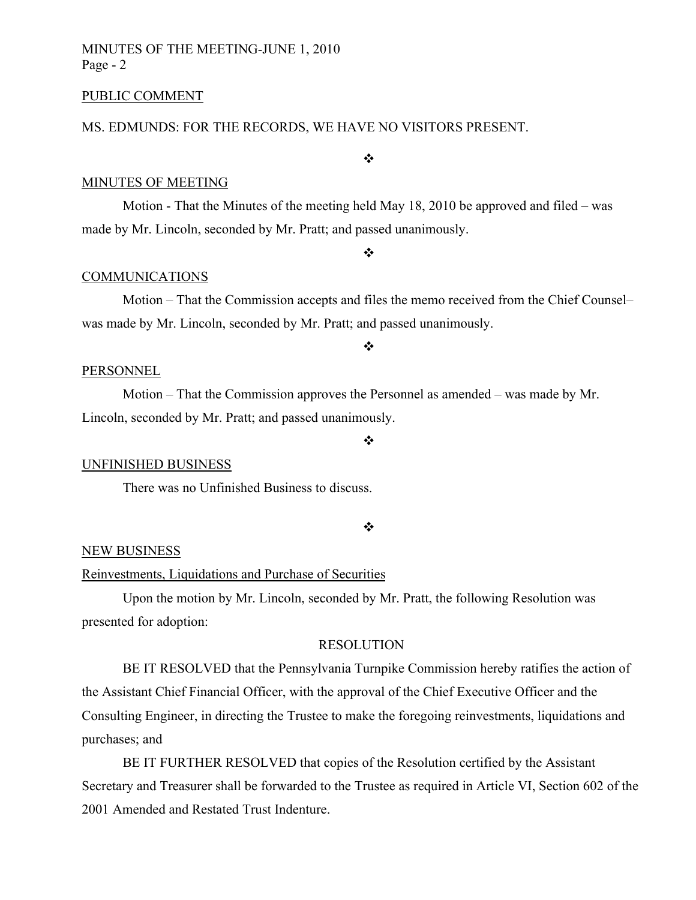# MINUTES OF THE MEETING-JUNE 1, 2010 Page - 2

### PUBLIC COMMENT

# MS. EDMUNDS: FOR THE RECORDS, WE HAVE NO VISITORS PRESENT.

# MINUTES OF MEETING

Motion - That the Minutes of the meeting held May 18, 2010 be approved and filed – was made by Mr. Lincoln, seconded by Mr. Pratt; and passed unanimously.

### $\frac{1}{2}$

 $\cdot \cdot$ 

# COMMUNICATIONS

Motion – That the Commission accepts and files the memo received from the Chief Counsel– was made by Mr. Lincoln, seconded by Mr. Pratt; and passed unanimously.

### ❖

### PERSONNEL

Motion – That the Commission approves the Personnel as amended – was made by Mr. Lincoln, seconded by Mr. Pratt; and passed unanimously.

### UNFINISHED BUSINESS

There was no Unfinished Business to discuss.

### $\frac{1}{2}$

 $\ddot{\cdot}$ 

### NEW BUSINESS

### Reinvestments, Liquidations and Purchase of Securities

Upon the motion by Mr. Lincoln, seconded by Mr. Pratt, the following Resolution was presented for adoption:

## RESOLUTION

BE IT RESOLVED that the Pennsylvania Turnpike Commission hereby ratifies the action of the Assistant Chief Financial Officer, with the approval of the Chief Executive Officer and the Consulting Engineer, in directing the Trustee to make the foregoing reinvestments, liquidations and purchases; and

BE IT FURTHER RESOLVED that copies of the Resolution certified by the Assistant Secretary and Treasurer shall be forwarded to the Trustee as required in Article VI, Section 602 of the 2001 Amended and Restated Trust Indenture.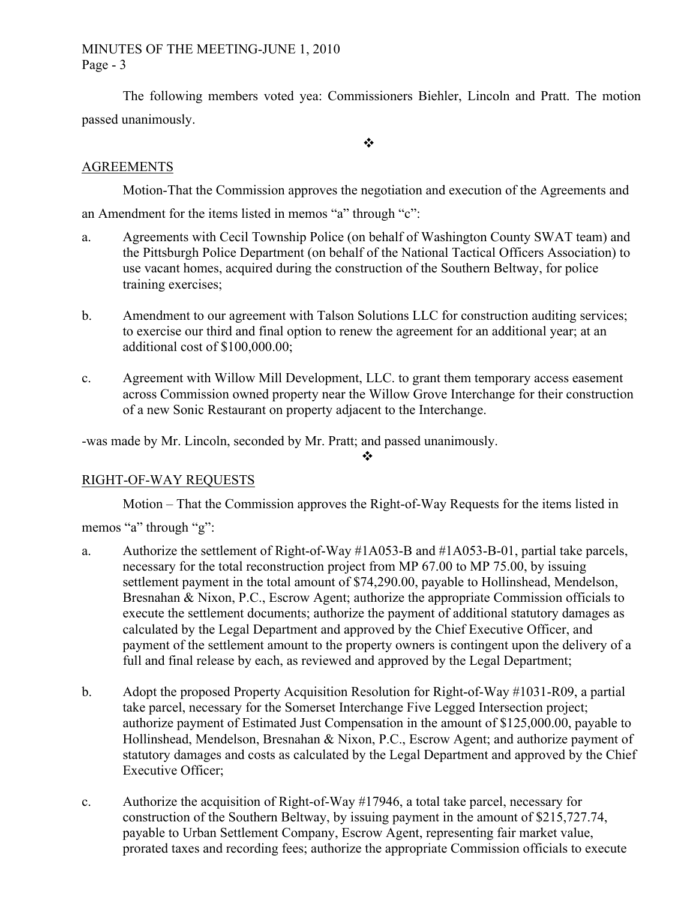# MINUTES OF THE MEETING-JUNE 1, 2010 Page - 3

The following members voted yea: Commissioners Biehler, Lincoln and Pratt. The motion passed unanimously.

 $\mathbf{r}^{\star}_{\bullet}$ 

# **AGREEMENTS**

Motion-That the Commission approves the negotiation and execution of the Agreements and an Amendment for the items listed in memos "a" through "c":

- a. Agreements with Cecil Township Police (on behalf of Washington County SWAT team) and the Pittsburgh Police Department (on behalf of the National Tactical Officers Association) to use vacant homes, acquired during the construction of the Southern Beltway, for police training exercises;
- b. Amendment to our agreement with Talson Solutions LLC for construction auditing services; to exercise our third and final option to renew the agreement for an additional year; at an additional cost of \$100,000.00;
- c. Agreement with Willow Mill Development, LLC. to grant them temporary access easement across Commission owned property near the Willow Grove Interchange for their construction of a new Sonic Restaurant on property adjacent to the Interchange.

-was made by Mr. Lincoln, seconded by Mr. Pratt; and passed unanimously.

 $\bullet^{\bullet}_{\mathbf{a}^{\bullet}}$ 

# RIGHT-OF-WAY REQUESTS

Motion – That the Commission approves the Right-of-Way Requests for the items listed in

memos "a" through "g":

- a. Authorize the settlement of Right-of-Way #1A053-B and #1A053-B-01, partial take parcels, necessary for the total reconstruction project from MP 67.00 to MP 75.00, by issuing settlement payment in the total amount of \$74,290.00, payable to Hollinshead, Mendelson, Bresnahan & Nixon, P.C., Escrow Agent; authorize the appropriate Commission officials to execute the settlement documents; authorize the payment of additional statutory damages as calculated by the Legal Department and approved by the Chief Executive Officer, and payment of the settlement amount to the property owners is contingent upon the delivery of a full and final release by each, as reviewed and approved by the Legal Department;
- b. Adopt the proposed Property Acquisition Resolution for Right-of-Way #1031-R09, a partial take parcel, necessary for the Somerset Interchange Five Legged Intersection project; authorize payment of Estimated Just Compensation in the amount of \$125,000.00, payable to Hollinshead, Mendelson, Bresnahan & Nixon, P.C., Escrow Agent; and authorize payment of statutory damages and costs as calculated by the Legal Department and approved by the Chief Executive Officer;
- c. Authorize the acquisition of Right-of-Way #17946, a total take parcel, necessary for construction of the Southern Beltway, by issuing payment in the amount of \$215,727.74, payable to Urban Settlement Company, Escrow Agent, representing fair market value, prorated taxes and recording fees; authorize the appropriate Commission officials to execute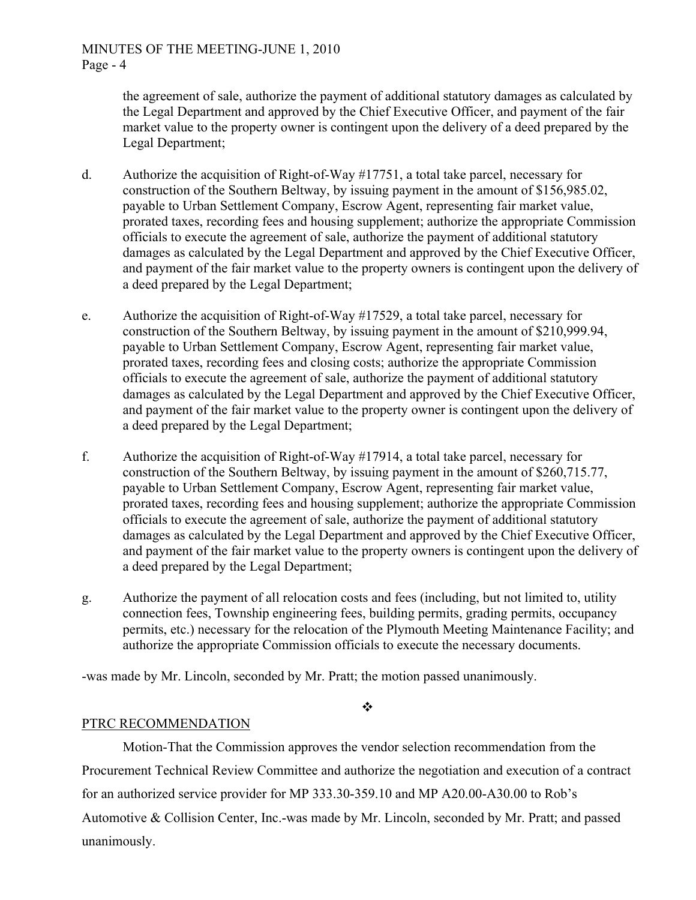the agreement of sale, authorize the payment of additional statutory damages as calculated by the Legal Department and approved by the Chief Executive Officer, and payment of the fair market value to the property owner is contingent upon the delivery of a deed prepared by the Legal Department;

- d. Authorize the acquisition of Right-of-Way #17751, a total take parcel, necessary for construction of the Southern Beltway, by issuing payment in the amount of \$156,985.02, payable to Urban Settlement Company, Escrow Agent, representing fair market value, prorated taxes, recording fees and housing supplement; authorize the appropriate Commission officials to execute the agreement of sale, authorize the payment of additional statutory damages as calculated by the Legal Department and approved by the Chief Executive Officer, and payment of the fair market value to the property owners is contingent upon the delivery of a deed prepared by the Legal Department;
- e. Authorize the acquisition of Right-of-Way #17529, a total take parcel, necessary for construction of the Southern Beltway, by issuing payment in the amount of \$210,999.94, payable to Urban Settlement Company, Escrow Agent, representing fair market value, prorated taxes, recording fees and closing costs; authorize the appropriate Commission officials to execute the agreement of sale, authorize the payment of additional statutory damages as calculated by the Legal Department and approved by the Chief Executive Officer, and payment of the fair market value to the property owner is contingent upon the delivery of a deed prepared by the Legal Department;
- f. Authorize the acquisition of Right-of-Way #17914, a total take parcel, necessary for construction of the Southern Beltway, by issuing payment in the amount of \$260,715.77, payable to Urban Settlement Company, Escrow Agent, representing fair market value, prorated taxes, recording fees and housing supplement; authorize the appropriate Commission officials to execute the agreement of sale, authorize the payment of additional statutory damages as calculated by the Legal Department and approved by the Chief Executive Officer, and payment of the fair market value to the property owners is contingent upon the delivery of a deed prepared by the Legal Department;
- g. Authorize the payment of all relocation costs and fees (including, but not limited to, utility connection fees, Township engineering fees, building permits, grading permits, occupancy permits, etc.) necessary for the relocation of the Plymouth Meeting Maintenance Facility; and authorize the appropriate Commission officials to execute the necessary documents.

-was made by Mr. Lincoln, seconded by Mr. Pratt; the motion passed unanimously.

 $\frac{1}{2}$ 

# PTRC RECOMMENDATION

Motion-That the Commission approves the vendor selection recommendation from the Procurement Technical Review Committee and authorize the negotiation and execution of a contract for an authorized service provider for MP 333.30-359.10 and MP A20.00-A30.00 to Rob's Automotive & Collision Center, Inc.-was made by Mr. Lincoln, seconded by Mr. Pratt; and passed unanimously.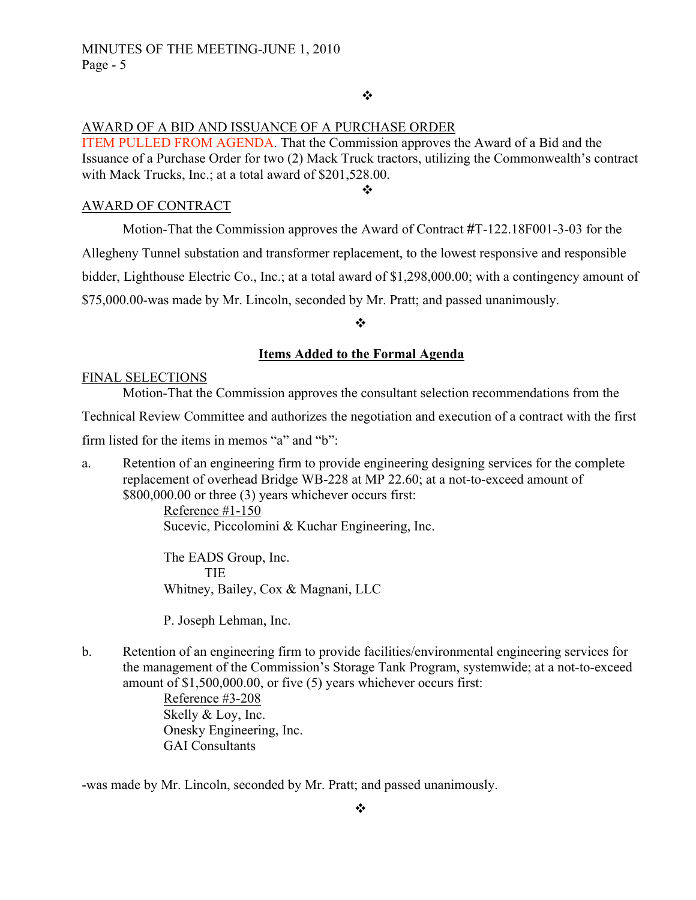# $\frac{1}{2}$

# AWARD OF A BID AND ISSUANCE OF A PURCHASE ORDER

ITEM PULLED FROM AGENDA. That the Commission approves the Award of a Bid and the Issuance of a Purchase Order for two (2) Mack Truck tractors, utilizing the Commonwealth's contract with Mack Trucks, Inc.; at a total award of \$201,528.00.

## AWARD OF CONTRACT

Motion-That the Commission approves the Award of Contract #T-122.18F001-3-03 for the

❖

Allegheny Tunnel substation and transformer replacement, to the lowest responsive and responsible

bidder, Lighthouse Electric Co., Inc.; at a total award of \$1,298,000.00; with a contingency amount of

\$75,000.00-was made by Mr. Lincoln, seconded by Mr. Pratt; and passed unanimously.

## ❖

## **Items Added to the Formal Agenda**

## FINAL SELECTIONS

Motion-That the Commission approves the consultant selection recommendations from the

Technical Review Committee and authorizes the negotiation and execution of a contract with the first

firm listed for the items in memos "a" and "b":

a. Retention of an engineering firm to provide engineering designing services for the complete replacement of overhead Bridge WB-228 at MP 22.60; at a not-to-exceed amount of \$800,000.00 or three (3) years whichever occurs first:

Reference #1-150 Sucevic, Piccolomini & Kuchar Engineering, Inc.

The EADS Group, Inc. **TIE** Whitney, Bailey, Cox & Magnani, LLC

P. Joseph Lehman, Inc.

b. Retention of an engineering firm to provide facilities/environmental engineering services for the management of the Commission's Storage Tank Program, systemwide; at a not-to-exceed amount of \$1,500,000.00, or five (5) years whichever occurs first:

> Reference #3-208 Skelly & Loy, Inc. Onesky Engineering, Inc. GAI Consultants

-was made by Mr. Lincoln, seconded by Mr. Pratt; and passed unanimously.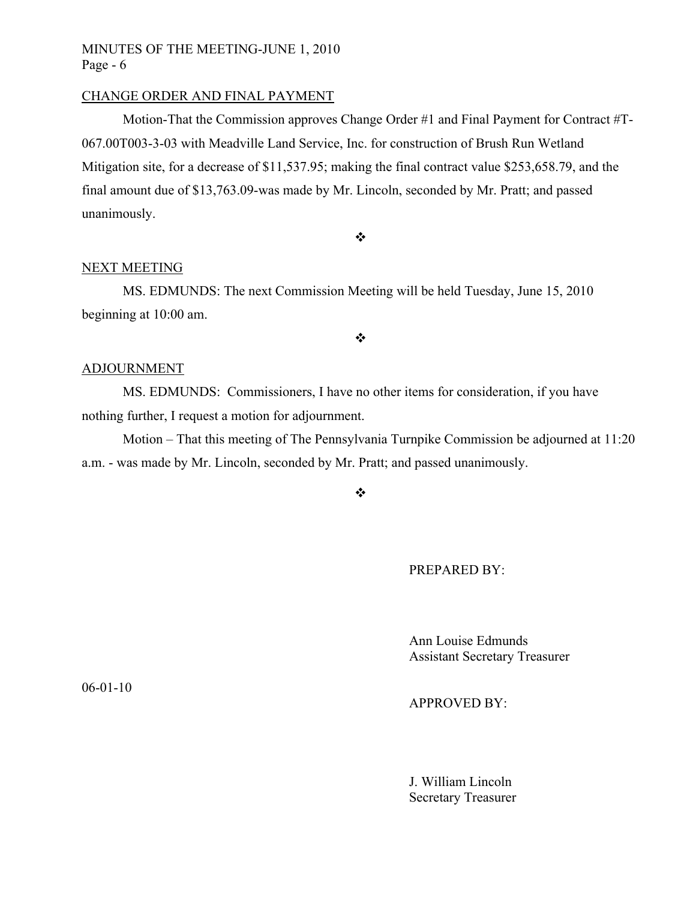# MINUTES OF THE MEETING-JUNE 1, 2010 Page - 6

# CHANGE ORDER AND FINAL PAYMENT

Motion-That the Commission approves Change Order #1 and Final Payment for Contract #T-067.00T003-3-03 with Meadville Land Service, Inc. for construction of Brush Run Wetland Mitigation site, for a decrease of \$11,537.95; making the final contract value \$253,658.79, and the final amount due of \$13,763.09-was made by Mr. Lincoln, seconded by Mr. Pratt; and passed unanimously.

 $\ddot{\bullet}$ 

# NEXT MEETING

MS. EDMUNDS: The next Commission Meeting will be held Tuesday, June 15, 2010 beginning at 10:00 am.

 $\bullet^{\bullet}_{\bullet} \bullet$ 

## ADJOURNMENT

MS. EDMUNDS: Commissioners, I have no other items for consideration, if you have nothing further, I request a motion for adjournment.

Motion – That this meeting of The Pennsylvania Turnpike Commission be adjourned at 11:20 a.m. - was made by Mr. Lincoln, seconded by Mr. Pratt; and passed unanimously.

 $\bullet^{\bullet}_{\bullet} \bullet$ 

PREPARED BY:

Ann Louise Edmunds Assistant Secretary Treasurer

APPROVED BY:

J. William Lincoln Secretary Treasurer

06-01-10